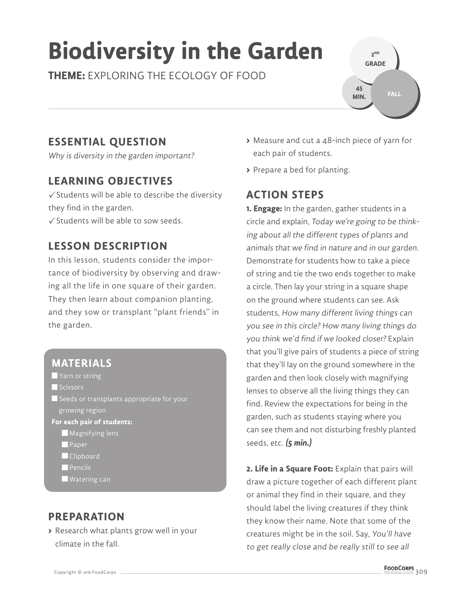# **Biodiversity in the Garden**

**THEME:** EXPLORING THE ECOLOGY OF FOOD



## **ESSENTIAL QUESTION**

Why is diversity in the garden important?

### **LEARNING OBJECTIVES**

 $\checkmark$  Students will be able to describe the diversity they find in the garden.

 $\sqrt{\frac{1}{2}}$  Students will be able to sow seeds.

#### **LESSON DESCRIPTION**

In this lesson, students consider the importance of biodiversity by observing and drawing all the life in one square of their garden. They then learn about companion planting, and they sow or transplant "plant friends" in the garden.

#### **MATERIALS**

- **Yarn or string**
- Scissors
- $\blacksquare$  Seeds or transplants appropriate for your growing region
- **For each pair of students:**
	- **Magnifying lens**
	- **Paper**
	- **Clipboard**
	- $\blacksquare$  Pencils
	- Watering can

#### **PREPARATION**

**>** Research what plants grow well in your climate in the fall.

- **>** Measure and cut a 48-inch piece of yarn for each pair of students.
- **>** Prepare a bed for planting.

#### **ACTION STEPS**

**1. Engage:** In the garden, gather students in a circle and explain, Today we're going to be thinking about all the different types of plants and animals that we find in nature and in our garden. Demonstrate for students how to take a piece of string and tie the two ends together to make a circle. Then lay your string in a square shape on the ground where students can see. Ask students, How many different living things can you see in this circle? How many living things do you think we'd find if we looked closer? Explain that you'll give pairs of students a piece of string that they'll lay on the ground somewhere in the garden and then look closely with magnifying lenses to observe all the living things they can find. Review the expectations for being in the garden, such as students staying where you can see them and not disturbing freshly planted seeds, etc. **(5 min.)**

**2. Life in a Square Foot:** Explain that pairs will draw a picture together of each different plant or animal they find in their square, and they should label the living creatures if they think they know their name. Note that some of the creatures might be in the soil. Say, You'll have to get really close and be really still to see all